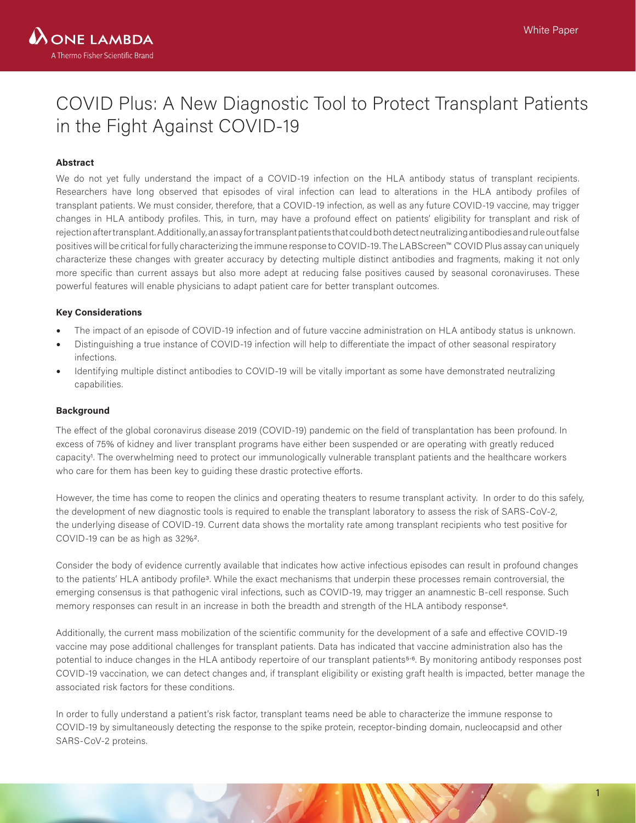# COVID Plus: A New Diagnostic Tool to Protect Transplant Patients in the Fight Against COVID-19

## **Abstract**

We do not yet fully understand the impact of a COVID-19 infection on the HLA antibody status of transplant recipients. Researchers have long observed that episodes of viral infection can lead to alterations in the HLA antibody profiles of transplant patients. We must consider, therefore, that a COVID-19 infection, as well as any future COVID-19 vaccine, may trigger changes in HLA antibody profiles. This, in turn, may have a profound effect on patients' eligibility for transplant and risk of rejection after transplant. Additionally, an assay for transplant patients that could both detect neutralizing antibodies and rule out false positives will be critical for fully characterizing the immune response to COVID-19. The LABScreen™ COVID Plus assay can uniquely characterize these changes with greater accuracy by detecting multiple distinct antibodies and fragments, making it not only more specific than current assays but also more adept at reducing false positives caused by seasonal coronaviruses. These powerful features will enable physicians to adapt patient care for better transplant outcomes.

#### **Key Considerations**

- The impact of an episode of COVID-19 infection and of future vaccine administration on HLA antibody status is unknown.
- Distinguishing a true instance of COVID-19 infection will help to differentiate the impact of other seasonal respiratory infections.
- Identifying multiple distinct antibodies to COVID-19 will be vitally important as some have demonstrated neutralizing capabilities.

#### **Background**

The effect of the global coronavirus disease 2019 (COVID-19) pandemic on the field of transplantation has been profound. In excess of 75% of kidney and liver transplant programs have either been suspended or are operating with greatly reduced capacity1. The overwhelming need to protect our immunologically vulnerable transplant patients and the healthcare workers who care for them has been key to guiding these drastic protective efforts.

However, the time has come to reopen the clinics and operating theaters to resume transplant activity. In order to do this safely, the development of new diagnostic tools is required to enable the transplant laboratory to assess the risk of SARS-CoV-2, the underlying disease of COVID-19. Current data shows the mortality rate among transplant recipients who test positive for COVID-19 can be as high as 32%2.

Consider the body of evidence currently available that indicates how active infectious episodes can result in profound changes to the patients' HLA antibody profile3. While the exact mechanisms that underpin these processes remain controversial, the emerging consensus is that pathogenic viral infections, such as COVID-19, may trigger an anamnestic B-cell response. Such memory responses can result in an increase in both the breadth and strength of the HLA antibody response4.

Additionally, the current mass mobilization of the scientific community for the development of a safe and effective COVID-19 vaccine may pose additional challenges for transplant patients. Data has indicated that vaccine administration also has the potential to induce changes in the HLA antibody repertoire of our transplant patients<sup>5,6</sup>. By monitoring antibody responses post COVID-19 vaccination, we can detect changes and, if transplant eligibility or existing graft health is impacted, better manage the associated risk factors for these conditions.

In order to fully understand a patient's risk factor, transplant teams need be able to characterize the immune response to COVID-19 by simultaneously detecting the response to the spike protein, receptor-binding domain, nucleocapsid and other SARS-CoV-2 proteins.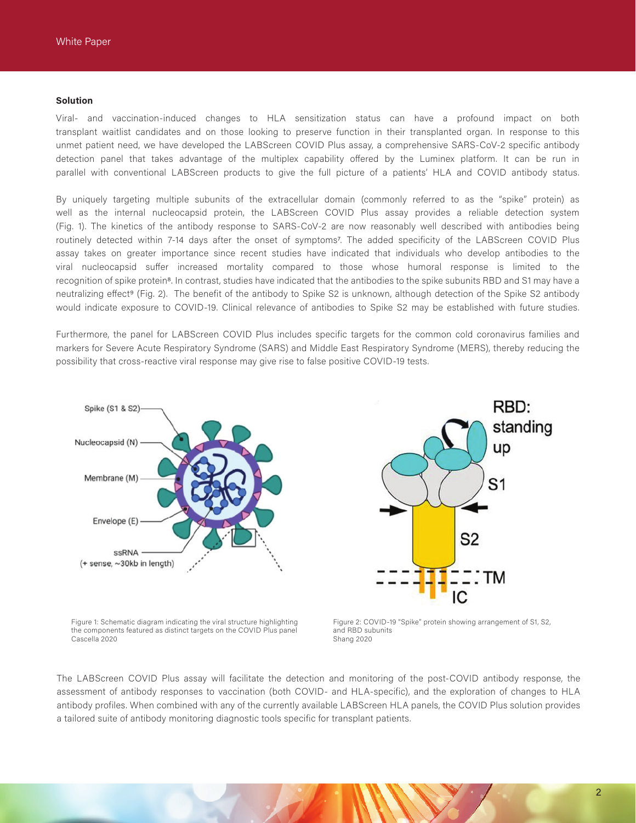#### **Solution**

Viral- and vaccination-induced changes to HLA sensitization status can have a profound impact on both transplant waitlist candidates and on those looking to preserve function in their transplanted organ. In response to this unmet patient need, we have developed the LABScreen COVID Plus assay, a comprehensive SARS-CoV-2 specific antibody detection panel that takes advantage of the multiplex capability offered by the Luminex platform. It can be run in parallel with conventional LABScreen products to give the full picture of a patients' HLA and COVID antibody status.

By uniquely targeting multiple subunits of the extracellular domain (commonly referred to as the "spike" protein) as well as the internal nucleocapsid protein, the LABScreen COVID Plus assay provides a reliable detection system (Fig. 1). The kinetics of the antibody response to SARS-CoV-2 are now reasonably well described with antibodies being routinely detected within 7-14 days after the onset of symptoms7. The added specificity of the LABScreen COVID Plus assay takes on greater importance since recent studies have indicated that individuals who develop antibodies to the viral nucleocapsid suffer increased mortality compared to those whose humoral response is limited to the recognition of spike protein<sup>8</sup>. In contrast, studies have indicated that the antibodies to the spike subunits RBD and S1 may have a neutralizing effect<sup>9</sup> (Fig. 2). The benefit of the antibody to Spike S2 is unknown, although detection of the Spike S2 antibody would indicate exposure to COVID-19. Clinical relevance of antibodies to Spike S2 may be established with future studies.

Furthermore, the panel for LABScreen COVID Plus includes specific targets for the common cold coronavirus families and markers for Severe Acute Respiratory Syndrome (SARS) and Middle East Respiratory Syndrome (MERS), thereby reducing the possibility that cross-reactive viral response may give rise to false positive COVID-19 tests.



Figure 1: Schematic diagram indicating the viral structure highlighting the components featured as distinct targets on the COVID Plus panel Cascella 2020



Figure 2: COVID-19 "Spike" protein showing arrangement of S1, S2, and RBD subunits Shang 2020

The LABScreen COVID Plus assay will facilitate the detection and monitoring of the post-COVID antibody response, the assessment of antibody responses to vaccination (both COVID- and HLA-specific), and the exploration of changes to HLA antibody profiles. When combined with any of the currently available LABScreen HLA panels, the COVID Plus solution provides a tailored suite of antibody monitoring diagnostic tools specific for transplant patients.